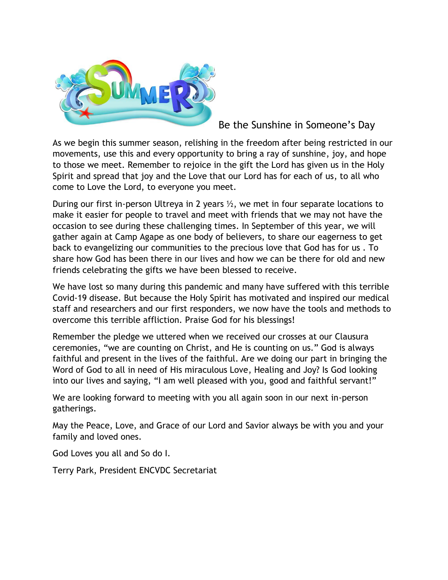

Be the Sunshine in Someone's Day

As we begin this summer season, relishing in the freedom after being restricted in our movements, use this and every opportunity to bring a ray of sunshine, joy, and hope to those we meet. Remember to rejoice in the gift the Lord has given us in the Holy Spirit and spread that joy and the Love that our Lord has for each of us, to all who come to Love the Lord, to everyone you meet.

During our first in-person Ultreya in 2 years ½, we met in four separate locations to make it easier for people to travel and meet with friends that we may not have the occasion to see during these challenging times. In September of this year, we will gather again at Camp Agape as one body of believers, to share our eagerness to get back to evangelizing our communities to the precious love that God has for us . To share how God has been there in our lives and how we can be there for old and new friends celebrating the gifts we have been blessed to receive.

We have lost so many during this pandemic and many have suffered with this terrible Covid-19 disease. But because the Holy Spirit has motivated and inspired our medical staff and researchers and our first responders, we now have the tools and methods to overcome this terrible affliction. Praise God for his blessings!

Remember the pledge we uttered when we received our crosses at our Clausura ceremonies, "we are counting on Christ, and He is counting on us." God is always faithful and present in the lives of the faithful. Are we doing our part in bringing the Word of God to all in need of His miraculous Love, Healing and Joy? Is God looking into our lives and saying, "I am well pleased with you, good and faithful servant!"

We are looking forward to meeting with you all again soon in our next in-person gatherings.

May the Peace, Love, and Grace of our Lord and Savior always be with you and your family and loved ones.

God Loves you all and So do I.

Terry Park, President ENCVDC Secretariat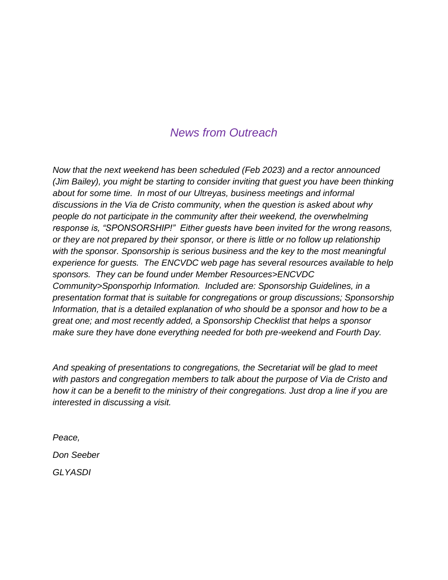# *News from Outreach*

*Now that the next weekend has been scheduled (Feb 2023) and a rector announced (Jim Bailey), you might be starting to consider inviting that guest you have been thinking about for some time. In most of our Ultreyas, business meetings and informal discussions in the Via de Cristo community, when the question is asked about why people do not participate in the community after their weekend, the overwhelming response is, "SPONSORSHIP!" Either guests have been invited for the wrong reasons, or they are not prepared by their sponsor, or there is little or no follow up relationship with the sponsor. Sponsorship is serious business and the key to the most meaningful experience for guests. The ENCVDC web page has several resources available to help sponsors. They can be found under Member Resources>ENCVDC Community>Sponsporhip Information. Included are: Sponsorship Guidelines, in a presentation format that is suitable for congregations or group discussions; Sponsorship Information, that is a detailed explanation of who should be a sponsor and how to be a great one; and most recently added, a Sponsorship Checklist that helps a sponsor make sure they have done everything needed for both pre-weekend and Fourth Day.*

*And speaking of presentations to congregations, the Secretariat will be glad to meet with pastors and congregation members to talk about the purpose of Via de Cristo and how it can be a benefit to the ministry of their congregations. Just drop a line if you are interested in discussing a visit.*

*Peace,*

*Don Seeber*

*GLYASDI*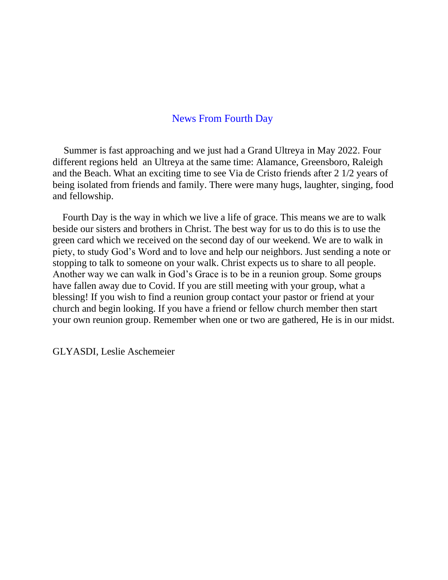# News From Fourth Day

Summer is fast approaching and we just had a Grand Ultreya in May 2022. Four different regions held an Ultreya at the same time: Alamance, Greensboro, Raleigh and the Beach. What an exciting time to see Via de Cristo friends after 2 1/2 years of being isolated from friends and family. There were many hugs, laughter, singing, food and fellowship.

Fourth Day is the way in which we live a life of grace. This means we are to walk beside our sisters and brothers in Christ. The best way for us to do this is to use the green card which we received on the second day of our weekend. We are to walk in piety, to study God's Word and to love and help our neighbors. Just sending a note or stopping to talk to someone on your walk. Christ expects us to share to all people. Another way we can walk in God's Grace is to be in a reunion group. Some groups have fallen away due to Covid. If you are still meeting with your group, what a blessing! If you wish to find a reunion group contact your pastor or friend at your church and begin looking. If you have a friend or fellow church member then start your own reunion group. Remember when one or two are gathered, He is in our midst.

GLYASDI, Leslie Aschemeier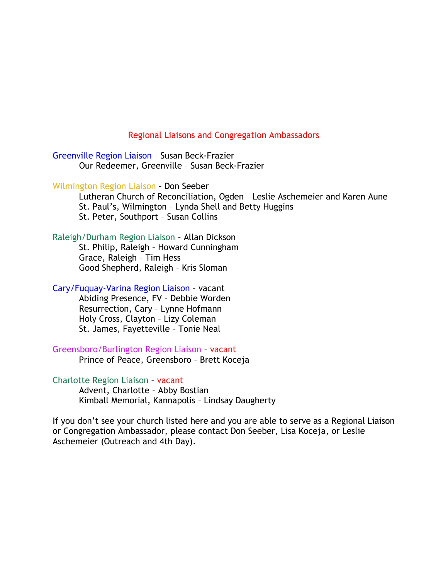#### Regional Liaisons and Congregation Ambassadors

Greenville Region Liaison – Susan Beck-Frazier Our Redeemer, Greenville – Susan Beck-Frazier

Wilmington Region Liaison – Don Seeber

 Lutheran Church of Reconciliation, Ogden – Leslie Aschemeier and Karen Aune St. Paul's, Wilmington – Lynda Shell and Betty Huggins St. Peter, Southport – Susan Collins

Raleigh/Durham Region Liaison – Allan Dickson

 St. Philip, Raleigh – Howard Cunningham Grace, Raleigh – Tim Hess Good Shepherd, Raleigh – Kris Sloman

Cary/Fuquay-Varina Region Liaison – vacant

 Abiding Presence, FV – Debbie Worden Resurrection, Cary – Lynne Hofmann Holy Cross, Clayton – Lizy Coleman St. James, Fayetteville – Tonie Neal

Greensboro/Burlington Region Liaison – vacant

Prince of Peace, Greensboro – Brett Koceja

Charlotte Region Liaison – vacant Advent, Charlotte – Abby Bostian Kimball Memorial, Kannapolis – Lindsay Daugherty

If you don't see your church listed here and you are able to serve as a Regional Liaison or Congregation Ambassador, please contact Don Seeber, Lisa Koceja, or Leslie Aschemeier (Outreach and 4th Day).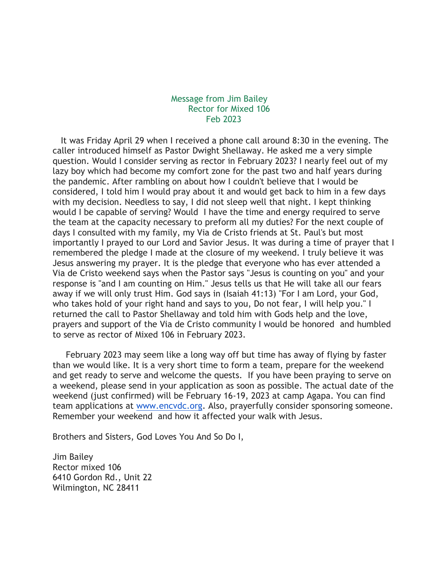### Message from Jim Bailey Rector for Mixed 106 Feb 2023

It was Friday April 29 when I received a phone call around 8:30 in the evening. The caller introduced himself as Pastor Dwight Shellaway. He asked me a very simple question. Would I consider serving as rector in February 2023? I nearly feel out of my lazy boy which had become my comfort zone for the past two and half years during the pandemic. After rambling on about how I couldn't believe that I would be considered, I told him I would pray about it and would get back to him in a few days with my decision. Needless to say, I did not sleep well that night. I kept thinking would I be capable of serving? Would I have the time and energy required to serve the team at the capacity necessary to preform all my duties? For the next couple of days I consulted with my family, my Via de Cristo friends at St. Paul's but most importantly I prayed to our Lord and Savior Jesus. It was during a time of prayer that I remembered the pledge I made at the closure of my weekend. I truly believe it was Jesus answering my prayer. It is the pledge that everyone who has ever attended a Via de Cristo weekend says when the Pastor says "Jesus is counting on you" and your response is "and I am counting on Him." Jesus tells us that He will take all our fears away if we will only trust Him. God says in (Isaiah 41:13) "For I am Lord, your God, who takes hold of your right hand and says to you, Do not fear, I will help you." I returned the call to Pastor Shellaway and told him with Gods help and the love, prayers and support of the Via de Cristo community I would be honored and humbled to serve as rector of Mixed 106 in February 2023.

February 2023 may seem like a long way off but time has away of flying by faster than we would like. It is a very short time to form a team, prepare for the weekend and get ready to serve and welcome the quests. If you have been praying to serve on a weekend, please send in your application as soon as possible. The actual date of the weekend (just confirmed) will be February 16-19, 2023 at camp Agapa. You can find team applications at [www.encvdc.org.](http://www.encvdc.org/) Also, prayerfully consider sponsoring someone. Remember your weekend and how it affected your walk with Jesus.

Brothers and Sisters, God Loves You And So Do I,

Jim Bailey Rector mixed 106 6410 Gordon Rd., Unit 22 Wilmington, NC 28411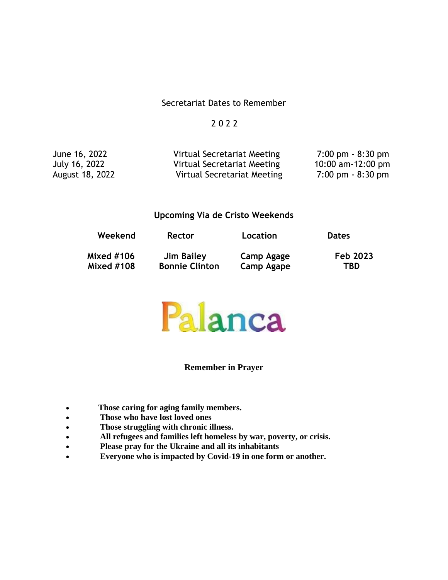## Secretariat Dates to Remember

## 2 0 2 2

June 16, 2022 Virtual Secretariat Meeting 7:00 pm - 8:30 pm July 16, 2022 Virtual Secretariat Meeting 10:00 am-12:00 pm Virtual Secretariat Meeting

#### **Upcoming Via de Cristo Weekends**

| Weekend    | Rector                | Location   | <b>Dates</b> |
|------------|-----------------------|------------|--------------|
| Mixed #106 | Jim Bailey            | Camp Agage | Feb 2023     |
| Mixed #108 | <b>Bonnie Clinton</b> | Camp Agape | <b>TBD</b>   |



#### **Remember in Prayer**

- **Those caring for aging family members.**
- **Those who have lost loved ones**
- **Those struggling with chronic illness.**
- **All refugees and families left homeless by war, poverty, or crisis.**
- **Please pray for the Ukraine and all its inhabitants**
- **Everyone who is impacted by Covid-19 in one form or another.**